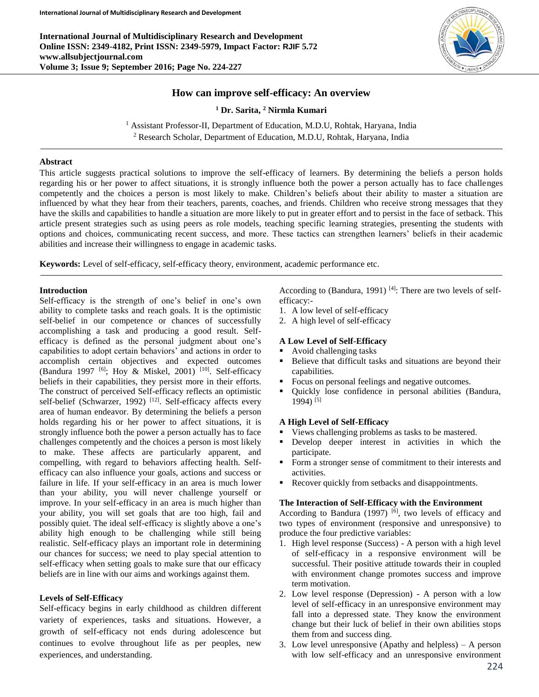**International Journal of Multidisciplinary Research and Development Online ISSN: 2349-4182, Print ISSN: 2349-5979, Impact Factor: RJIF 5.72 www.allsubjectjournal.com Volume 3; Issue 9; September 2016; Page No. 224-227**



# **How can improve self-efficacy: An overview**

**<sup>1</sup> Dr. Sarita, <sup>2</sup> Nirmla Kumari**

<sup>1</sup> Assistant Professor-II, Department of Education, M.D.U, Rohtak, Haryana, India <sup>2</sup> Research Scholar, Department of Education, M.D.U, Rohtak, Haryana, India

#### **Abstract**

This article suggests practical solutions to improve the self-efficacy of learners. By determining the beliefs a person holds regarding his or her power to affect situations, it is strongly influence both the power a person actually has to face challenges competently and the choices a person is most likely to make. Children's beliefs about their ability to master a situation are influenced by what they hear from their teachers, parents, coaches, and friends. Children who receive strong messages that they have the skills and capabilities to handle a situation are more likely to put in greater effort and to persist in the face of setback. This article present strategies such as using peers as role models, teaching specific learning strategies, presenting the students with options and choices, communicating recent success, and more. These tactics can strengthen learners' beliefs in their academic abilities and increase their willingness to engage in academic tasks.

**Keywords:** Level of self-efficacy, self-efficacy theory, environment, academic performance etc.

## **Introduction**

Self-efficacy is the strength of one's belief in one's own ability to complete tasks and reach goals. It is the optimistic self-belief in our competence or chances of successfully accomplishing a task and producing a good result. Selfefficacy is defined as the personal judgment about one's capabilities to adopt certain behaviors' and actions in order to accomplish certain objectives and expected outcomes (Bandura 1997  $[6]$ ; Hoy & Miskel, 2001)  $[10]$ . Self-efficacy beliefs in their capabilities, they persist more in their efforts. The construct of perceived Self-efficacy reflects an optimistic self-belief (Schwarzer, 1992)<sup>[12]</sup>. Self-efficacy affects every area of human endeavor. By determining the beliefs a person holds regarding his or her power to affect situations, it is strongly influence both the power a person actually has to face challenges competently and the choices a person is most likely to make. These affects are particularly apparent, and compelling, with regard to behaviors affecting health. Selfefficacy can also influence your goals, actions and success or failure in life. If your self-efficacy in an area is much lower than your ability, you will never challenge yourself or improve. In your self-efficacy in an area is much higher than your ability, you will set goals that are too high, fail and possibly quiet. The ideal self-efficacy is slightly above a one's ability high enough to be challenging while still being realistic. Self-efficacy plays an important role in determining our chances for success; we need to play special attention to self-efficacy when setting goals to make sure that our efficacy beliefs are in line with our aims and workings against them.

### **Levels of Self-Efficacy**

Self-efficacy begins in early childhood as children different variety of experiences, tasks and situations. However, a growth of self-efficacy not ends during adolescence but continues to evolve throughout life as per peoples, new experiences, and understanding.

According to (Bandura, 1991)<sup>[4]</sup>: There are two levels of selfefficacy:-

- 1. A low level of self-efficacy
- 2. A high level of self-efficacy

## **A Low Level of Self-Efficacy**

- Avoid challenging tasks
- **Believe that difficult tasks and situations are beyond their** capabilities.
- Focus on personal feelings and negative outcomes.
- Quickly lose confidence in personal abilities (Bandura, 1994) [5]

### **A High Level of Self-Efficacy**

- Views challenging problems as tasks to be mastered.
- Develop deeper interest in activities in which the participate.
- Form a stronger sense of commitment to their interests and activities.
- Recover quickly from setbacks and disappointments.

### **The Interaction of Self-Efficacy with the Environment**

According to Bandura  $(1997)$  <sup>[6]</sup>, two levels of efficacy and two types of environment (responsive and unresponsive) to produce the four predictive variables:

- 1. High level response (Success) A person with a high level of self-efficacy in a responsive environment will be successful. Their positive attitude towards their in coupled with environment change promotes success and improve term motivation.
- 2. Low level response (Depression) A person with a low level of self-efficacy in an unresponsive environment may fall into a depressed state. They know the environment change but their luck of belief in their own abilities stops them from and success ding.
- 3. Low level unresponsive (Apathy and helpless) A person with low self-efficacy and an unresponsive environment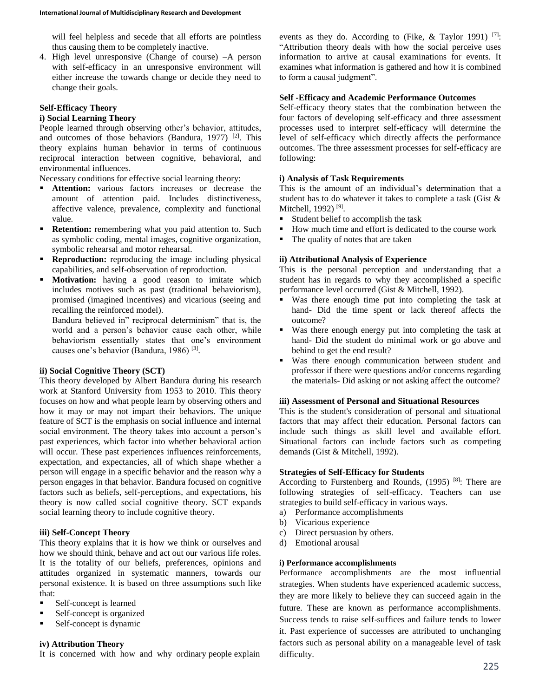will feel helpless and secede that all efforts are pointless thus causing them to be completely inactive.

4. High level unresponsive (Change of course) –A person with self-efficacy in an unresponsive environment will either increase the towards change or decide they need to change their goals.

# **Self-Efficacy Theory**

### **i) Social Learning Theory**

People learned through observing other's behavior, attitudes, and outcomes of those behaviors (Bandura, 1977)<sup>[2]</sup>. This theory explains human behavior in terms of continuous reciprocal interaction between cognitive, behavioral, and environmental influences.

Necessary conditions for effective social learning theory:

- **Attention:** various factors increases or decrease the amount of attention paid. Includes distinctiveness, affective valence, prevalence, complexity and functional value.
- **Retention:** remembering what you paid attention to. Such as symbolic coding, mental images, cognitive organization, symbolic rehearsal and motor rehearsal.
- **Reproduction:** reproducing the image including physical capabilities, and self-observation of reproduction.
- **Motivation:** having a good reason to imitate which includes motives such as past (traditional behaviorism), promised (imagined incentives) and vicarious (seeing and recalling the reinforced model).

Bandura believed in" reciprocal determinism" that is, the world and a person's behavior cause each other, while behaviorism essentially states that one's environment causes one's behavior (Bandura, 1986)<sup>[3]</sup>.

### **ii) Social Cognitive Theory (SCT)**

This theory developed by Albert Bandura during his research work at Stanford University from 1953 to 2010. This theory focuses on how and what people learn by observing others and how it may or may not impart their behaviors. The unique feature of SCT is the emphasis on social influence and internal social environment. The theory takes into account a person's past experiences, which factor into whether behavioral action will occur. These past experiences influences reinforcements, expectation, and expectancies, all of which shape whether a person will engage in a specific behavior and the reason why a person engages in that behavior. Bandura focused on cognitive factors such as beliefs, self-perceptions, and expectations, his theory is now called social cognitive theory. SCT expands social learning theory to include cognitive theory.

## **iii) Self-Concept Theory**

This theory explains that it is how we think or ourselves and how we should think, behave and act out our various life roles. It is the totality of our beliefs, preferences, opinions and attitudes organized in systematic manners, towards our personal existence. It is based on three assumptions such like that:

- Self-concept is learned
- Self-concept is organized
- Self-concept is dynamic

#### **iv) Attribution Theory**

It is concerned with how and why ordinary people explain

events as they do. According to (Fike,  $\&$  Taylor 1991) [7]: "Attribution theory deals with how the social perceive uses information to arrive at causal examinations for events. It examines what information is gathered and how it is combined to form a causal judgment".

#### **Self -Efficacy and Academic Performance Outcomes**

Self-efficacy theory states that the combination between the four factors of developing self-efficacy and three assessment processes used to interpret self-efficacy will determine the level of self-efficacy which directly affects the performance outcomes. The three assessment processes for self-efficacy are following:

#### **i) Analysis of Task Requirements**

This is the amount of an individual's determination that a student has to do whatever it takes to complete a task (Gist & Mitchell, 1992)<sup>[9]</sup>.

- Student belief to accomplish the task
- How much time and effort is dedicated to the course work
- The quality of notes that are taken

### **ii) Attributional Analysis of Experience**

This is the personal perception and understanding that a student has in regards to why they accomplished a specific performance level occurred (Gist & Mitchell, 1992).

- Was there enough time put into completing the task at hand- Did the time spent or lack thereof affects the outcome?
- Was there enough energy put into completing the task at hand- Did the student do minimal work or go above and behind to get the end result?
- Was there enough communication between student and professor if there were questions and/or concerns regarding the materials- Did asking or not asking affect the outcome?

## **iii) Assessment of Personal and Situational Resources**

This is the student's consideration of personal and situational factors that may affect their education. Personal factors can include such things as skill level and available effort. Situational factors can include factors such as competing demands (Gist & Mitchell, 1992).

#### **Strategies of Self-Efficacy for Students**

According to Furstenberg and Rounds, (1995)<sup>[8]</sup>: There are following strategies of self-efficacy. Teachers can use strategies to build self-efficacy in various ways.

- a) Performance accomplishments
- b) Vicarious experience
- c) Direct persuasion by others.
- d) Emotional arousal

#### **i) Performance accomplishments**

Performance accomplishments are the most influential strategies. When students have experienced academic success, they are more likely to believe they can succeed again in the future. These are known as performance accomplishments. Success tends to raise self-suffices and failure tends to lower it. Past experience of successes are attributed to unchanging factors such as personal ability on a manageable level of task difficulty.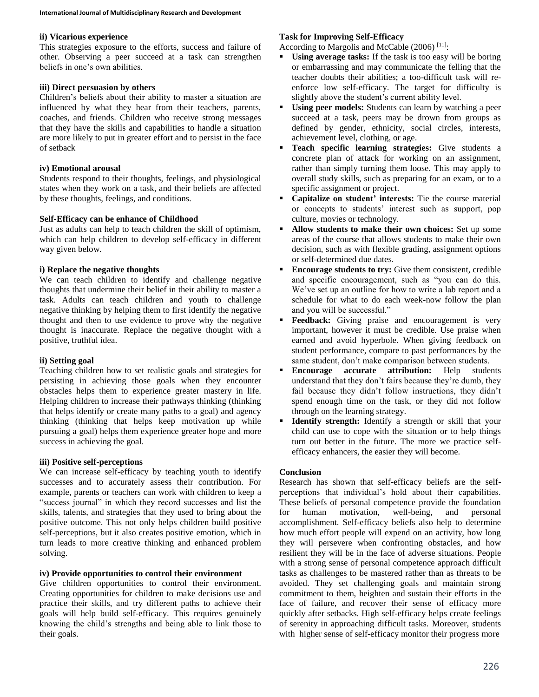## **ii) Vicarious experience**

This strategies exposure to the efforts, success and failure of other. Observing a peer succeed at a task can strengthen beliefs in one's own abilities.

# **iii) Direct persuasion by others**

Children's beliefs about their ability to master a situation are influenced by what they hear from their teachers, parents, coaches, and friends. Children who receive strong messages that they have the skills and capabilities to handle a situation are more likely to put in greater effort and to persist in the face of setback

## **iv) Emotional arousal**

Students respond to their thoughts, feelings, and physiological states when they work on a task, and their beliefs are affected by these thoughts, feelings, and conditions.

## **Self-Efficacy can be enhance of Childhood**

Just as adults can help to teach children the skill of optimism, which can help children to develop self-efficacy in different way given below.

## **i) Replace the negative thoughts**

We can teach children to identify and challenge negative thoughts that undermine their belief in their ability to master a task. Adults can teach children and youth to challenge negative thinking by helping them to first identify the negative thought and then to use evidence to prove why the negative thought is inaccurate. Replace the negative thought with a positive, truthful idea.

# **ii) Setting goal**

Teaching children how to set realistic goals and strategies for persisting in achieving those goals when they encounter obstacles helps them to experience greater mastery in life. Helping children to increase their pathways thinking (thinking that helps identify or create many paths to a goal) and agency thinking (thinking that helps keep motivation up while pursuing a goal) helps them experience greater hope and more success in achieving the goal.

# **iii) Positive self-perceptions**

We can increase self-efficacy by teaching youth to identify successes and to accurately assess their contribution. For example, parents or teachers can work with children to keep a "success journal" in which they record successes and list the skills, talents, and strategies that they used to bring about the positive outcome. This not only helps children build positive self-perceptions, but it also creates positive emotion, which in turn leads to more creative thinking and enhanced problem solving.

# **iv) Provide opportunities to control their environment**

Give children opportunities to control their environment. Creating opportunities for children to make decisions use and practice their skills, and try different paths to achieve their goals will help build self-efficacy. This requires genuinely knowing the child's strengths and being able to link those to their goals.

# **Task for Improving Self-Efficacy**

According to Margolis and McCable  $(2006)$ <sup>[11]</sup>:

- **Using average tasks:** If the task is too easy will be boring or embarrassing and may communicate the felling that the teacher doubts their abilities; a too-difficult task will reenforce low self-efficacy. The target for difficulty is slightly above the student's current ability level.
- **Using peer models:** Students can learn by watching a peer succeed at a task, peers may be drown from groups as defined by gender, ethnicity, social circles, interests, achievement level, clothing, or age.
- **Teach specific learning strategies:** Give students a concrete plan of attack for working on an assignment, rather than simply turning them loose. This may apply to overall study skills, such as preparing for an exam, or to a specific assignment or project.
- **Capitalize on student' interests:** Tie the course material or concepts to students' interest such as support, pop culture, movies or technology.
- **Allow students to make their own choices:** Set up some areas of the course that allows students to make their own decision, such as with flexible grading, assignment options or self-determined due dates.
- **Encourage students to try:** Give them consistent, credible and specific encouragement, such as "you can do this. We've set up an outline for how to write a lab report and a schedule for what to do each week-now follow the plan and you will be successful."
- **Feedback:** Giving praise and encouragement is very important, however it must be credible. Use praise when earned and avoid hyperbole. When giving feedback on student performance, compare to past performances by the same student, don't make comparison between students.
- **Encourage accurate attribution:** Help students understand that they don't fairs because they're dumb, they fail because they didn't follow instructions, they didn't spend enough time on the task, or they did not follow through on the learning strategy.
- **Identify strength:** Identify a strength or skill that your child can use to cope with the situation or to help things turn out better in the future. The more we practice selfefficacy enhancers, the easier they will become.

# **Conclusion**

Research has shown that self-efficacy beliefs are the selfperceptions that individual's hold about their capabilities. These beliefs of personal competence provide the foundation for human motivation, well-being, and personal accomplishment. Self-efficacy beliefs also help to determine how much effort people will expend on an activity, how long they will persevere when confronting obstacles, and how resilient they will be in the face of adverse situations. People with a strong sense of personal competence approach difficult tasks as challenges to be mastered rather than as threats to be avoided. They set challenging goals and maintain strong commitment to them, heighten and sustain their efforts in the face of failure, and recover their sense of efficacy more quickly after setbacks. High self-efficacy helps create feelings of serenity in approaching difficult tasks. Moreover, students with higher sense of self-efficacy monitor their progress more